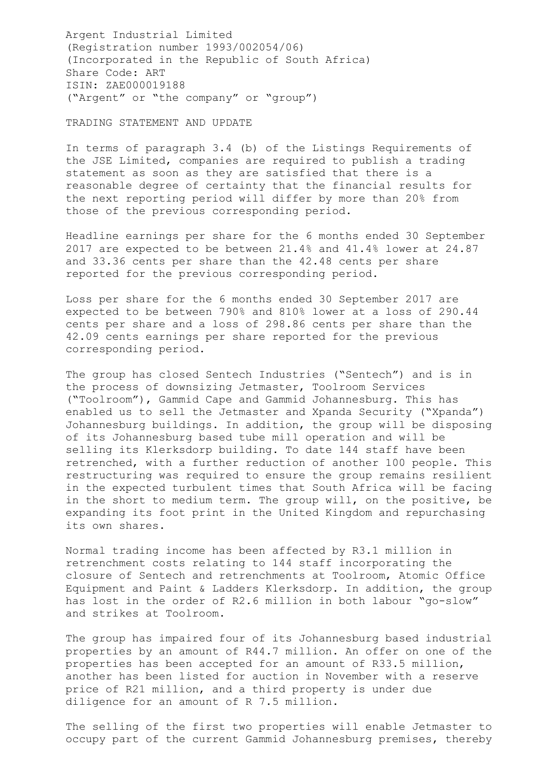Argent Industrial Limited (Registration number 1993/002054/06) (Incorporated in the Republic of South Africa) Share Code: ART ISIN: ZAE000019188 ("Argent" or "the company" or "group")

TRADING STATEMENT AND UPDATE

In terms of paragraph 3.4 (b) of the Listings Requirements of the JSE Limited, companies are required to publish a trading statement as soon as they are satisfied that there is a reasonable degree of certainty that the financial results for the next reporting period will differ by more than 20% from those of the previous corresponding period.

Headline earnings per share for the 6 months ended 30 September 2017 are expected to be between 21.4% and 41.4% lower at 24.87 and 33.36 cents per share than the 42.48 cents per share reported for the previous corresponding period.

Loss per share for the 6 months ended 30 September 2017 are expected to be between 790% and 810% lower at a loss of 290.44 cents per share and a loss of 298.86 cents per share than the 42.09 cents earnings per share reported for the previous corresponding period.

The group has closed Sentech Industries ("Sentech") and is in the process of downsizing Jetmaster, Toolroom Services ("Toolroom"), Gammid Cape and Gammid Johannesburg. This has enabled us to sell the Jetmaster and Xpanda Security ("Xpanda") Johannesburg buildings. In addition, the group will be disposing of its Johannesburg based tube mill operation and will be selling its Klerksdorp building. To date 144 staff have been retrenched, with a further reduction of another 100 people. This restructuring was required to ensure the group remains resilient in the expected turbulent times that South Africa will be facing in the short to medium term. The group will, on the positive, be expanding its foot print in the United Kingdom and repurchasing its own shares.

Normal trading income has been affected by R3.1 million in retrenchment costs relating to 144 staff incorporating the closure of Sentech and retrenchments at Toolroom, Atomic Office Equipment and Paint & Ladders Klerksdorp. In addition, the group has lost in the order of R2.6 million in both labour "go-slow" and strikes at Toolroom.

The group has impaired four of its Johannesburg based industrial properties by an amount of R44.7 million. An offer on one of the properties has been accepted for an amount of R33.5 million, another has been listed for auction in November with a reserve price of R21 million, and a third property is under due diligence for an amount of R 7.5 million.

The selling of the first two properties will enable Jetmaster to occupy part of the current Gammid Johannesburg premises, thereby